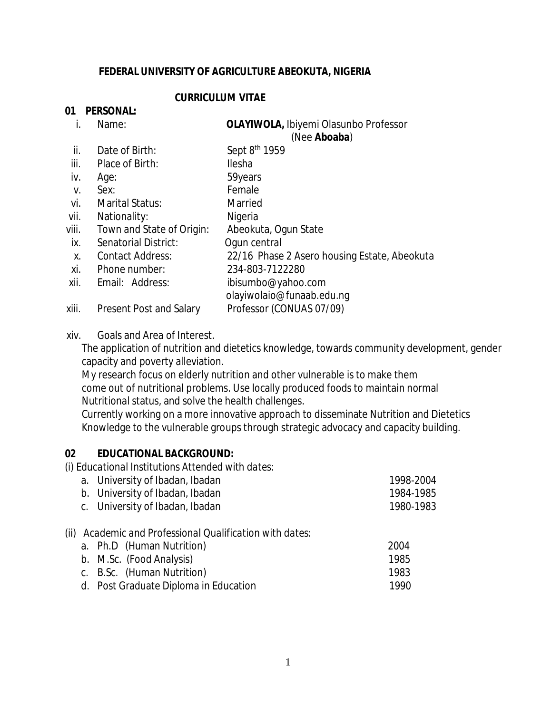#### **FEDERAL UNIVERSITY OF AGRICULTURE ABEOKUTA, NIGERIA**

#### **CURRICULUM VITAE**

#### **01 PERSONAL:**

| i.              | Name:           | <b>OLAYIWOLA, Ibiyemi Olasunbo Professor</b> |  |
|-----------------|-----------------|----------------------------------------------|--|
|                 |                 | (Nee Aboaba)                                 |  |
| $\mathbf{ii}$ . | Date of Birth:  | Sept 8 <sup>th</sup> 1959                    |  |
| iii.            | Place of Birth: | <b>Ilesha</b>                                |  |
|                 | iv. Age:        | 59years                                      |  |

- v. Sex: Female
- vi. Marital Status: Married
- vii. Nationality: Nigeria
- 
- viii. Town and State of Origin: Abeokuta, Ogun State
- ix. Senatorial District: Ogun central
- x. Contact Address: 22/16 Phase 2 Asero housing Estate, Abeokuta
- xi. Phone number: 234-803-7122280
- xii. Email: Address: [ibisumbo@yahoo.com](mailto:ibisumbo@yahoo.com)  [olayiwolaio@funaab.edu.ng](mailto:olayiwolaio@funaab.edu.ng)
- xiii. Present Post and Salary Professor (CONUAS 07/09)

#### xiv. Goals and Area of Interest.

 The application of nutrition and dietetics knowledge, towards community development, gender capacity and poverty alleviation.

 My research focus on elderly nutrition and other vulnerable is to make them come out of nutritional problems. Use locally produced foods to maintain normal Nutritional status, and solve the health challenges.

 Currently working on a more innovative approach to disseminate Nutrition and Dietetics Knowledge to the vulnerable groups through strategic advocacy and capacity building.

#### **02 EDUCATIONAL BACKGROUND:**

*(i) Educational Institutions Attended with dates:* 

| a. University of Ibadan, Ibadan | 1998-2004 |
|---------------------------------|-----------|
| b. University of Ibadan, Ibadan | 1984-1985 |
| c. University of Ibadan, Ibadan | 1980-1983 |

#### (ii) *Academic and Professional Qualification with dates:*

| a. Ph.D (Human Nutrition)             | 2004 |
|---------------------------------------|------|
| b. M.Sc. (Food Analysis)              | 1985 |
| c. B.Sc. (Human Nutrition)            | 1983 |
| d. Post Graduate Diploma in Education | 1990 |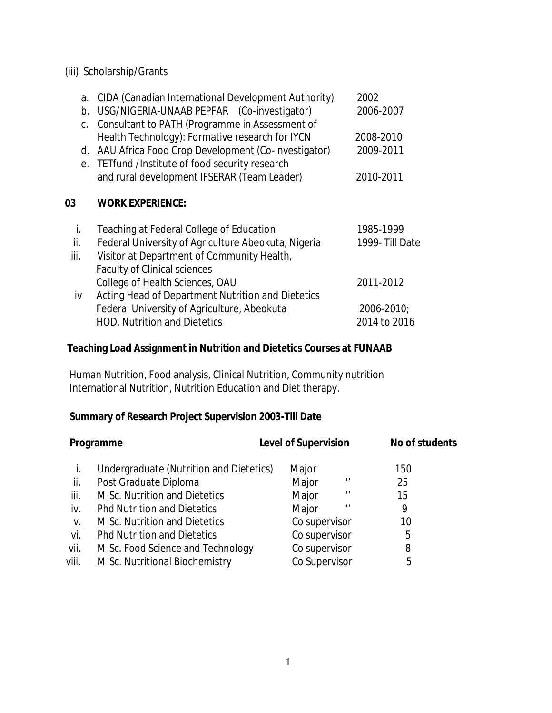## (iii) Scholarship/Grants

| a.<br>b. | CIDA (Canadian International Development Authority)<br>USG/NIGERIA-UNAAB PEPFAR (Co-investigator)<br>Consultant to PATH (Programme in Assessment of | 2002<br>2006-2007 |
|----------|-----------------------------------------------------------------------------------------------------------------------------------------------------|-------------------|
| C.       | Health Technology): Formative research for IYCN                                                                                                     | 2008-2010         |
| d.       | AAU Africa Food Crop Development (Co-investigator)                                                                                                  | 2009-2011         |
|          | e. TETfund /Institute of food security research                                                                                                     |                   |
|          | and rural development IFSERAR (Team Leader)                                                                                                         | 2010-2011         |
| 03       | <b>WORK EXPERIENCE:</b>                                                                                                                             |                   |
|          |                                                                                                                                                     |                   |
| İ.       | Teaching at Federal College of Education                                                                                                            | 1985-1999         |
| ii.      | Federal University of Agriculture Abeokuta, Nigeria                                                                                                 | 1999- Till Date   |
| iii.     | Visitor at Department of Community Health,                                                                                                          |                   |
|          | <b>Faculty of Clinical sciences</b>                                                                                                                 |                   |
|          | College of Health Sciences, OAU                                                                                                                     | 2011-2012         |
| iv       | Acting Head of Department Nutrition and Dietetics                                                                                                   |                   |
|          | Federal University of Agriculture, Abeokuta                                                                                                         | 2006-2010;        |

## **Teaching Load Assignment in Nutrition and Dietetics Courses at FUNAAB**

 Human Nutrition, Food analysis, Clinical Nutrition, Community nutrition International Nutrition, Nutrition Education and Diet therapy.

## **Summary of Research Project Supervision 2003-Till Date**

| Programme |                                         | <b>Level of Supervision</b> | No of students |
|-----------|-----------------------------------------|-----------------------------|----------------|
| i.        | Undergraduate (Nutrition and Dietetics) | Major                       | 150            |
| ii.       | Post Graduate Diploma                   | Major<br>$\prime$           | 25             |
| iii.      | M.Sc. Nutrition and Dietetics           | Major<br>$^{\prime}$        | 15             |
| iv.       | <b>Phd Nutrition and Dietetics</b>      | Major<br>$\prime$           | 9              |
| V.        | M.Sc. Nutrition and Dietetics           | Co supervisor               | 10             |
| vi.       | <b>Phd Nutrition and Dietetics</b>      | Co supervisor               | 5              |
| vii.      | M.Sc. Food Science and Technology       | Co supervisor               | 8              |
| viii.     | M.Sc. Nutritional Biochemistry          | Co Supervisor               | 5              |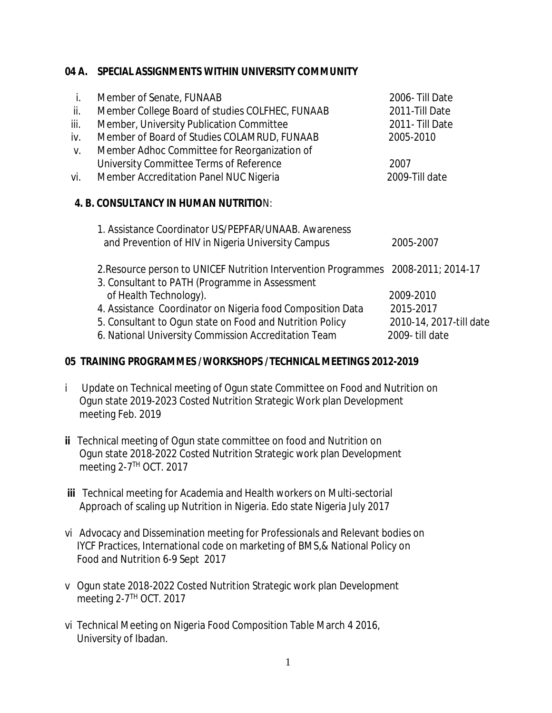## **04 A. SPECIAL ASSIGNMENTS WITHIN UNIVERSITY COMMUNITY**

| i.   | Member of Senate, FUNAAB                                                                                         | 2006- Till Date                           |
|------|------------------------------------------------------------------------------------------------------------------|-------------------------------------------|
| ii.  | Member College Board of studies COLFHEC, FUNAAB                                                                  | 2011-Till Date                            |
| iii. | Member, University Publication Committee                                                                         | 2011- Till Date                           |
| iv.  | Member of Board of Studies COLAMRUD, FUNAAB                                                                      | 2005-2010                                 |
| V.   | Member Adhoc Committee for Reorganization of                                                                     |                                           |
|      | University Committee Terms of Reference                                                                          | 2007                                      |
| vi.  | Member Accreditation Panel NUC Nigeria                                                                           | 2009-Till date                            |
|      | 4. B. CONSULTANCY IN HUMAN NUTRITION:<br>1. Assistance Coordinator US/PEPFAR/UNAAB. Awareness                    |                                           |
|      | and Prevention of HIV in Nigeria University Campus                                                               | 2005-2007                                 |
|      | 2. Resource person to UNICEF Nutrition Intervention Programmes<br>3. Consultant to PATH (Programme in Assessment | 2008-2011; 2014-17                        |
|      | of Health Technology).                                                                                           | 2009-2010                                 |
|      | 4. Assistance Coordinator on Nigeria food Composition Data                                                       | 2015-2017                                 |
|      | 5. Consultant to Ogun state on Food and Nutrition Policy<br>6. National University Commission Accreditation Team | 2010-14, 2017-till date<br>2009-till date |
|      |                                                                                                                  |                                           |

## **05 TRAINING PROGRAMMES /WORKSHOPS /TECHNICAL MEETINGS 2012-2019**

- i Update on Technical meeting of Ogun state Committee on Food and Nutrition on Ogun state 2019-2023 Costed Nutrition Strategic Work plan Development meeting Feb. 2019
- **ii** Technical meeting of Ogun state committee on food and Nutrition on Ogun state 2018-2022 Costed Nutrition Strategic work plan Development meeting 2-7 TH OCT. 2017
- **iii** Technical meeting for Academia and Health workers on Multi-sectorial Approach of scaling up Nutrition in Nigeria. Edo state Nigeria July 2017
- vi Advocacy and Dissemination meeting for Professionals and Relevant bodies on IYCF Practices, International code on marketing of BMS,& National Policy on Food and Nutrition 6-9 Sept 2017
- v Ogun state 2018-2022 Costed Nutrition Strategic work plan Development meeting 2-7 TH OCT. 2017
- vi Technical Meeting on Nigeria Food Composition Table March 4 2016, University of Ibadan.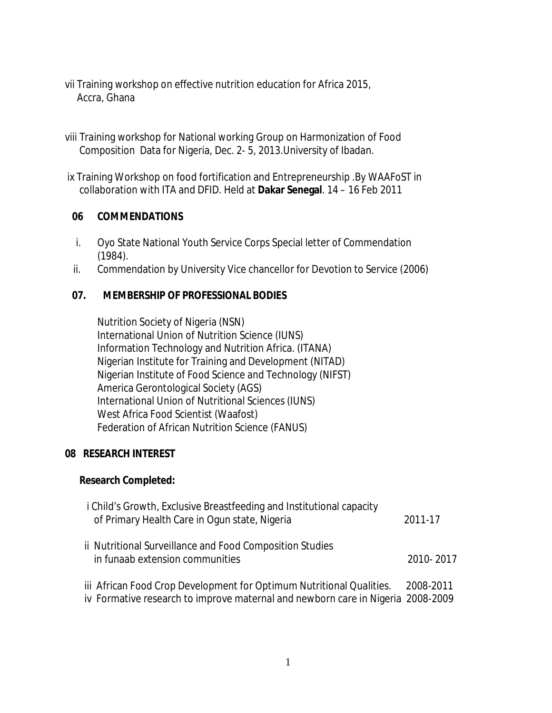- vii Training workshop on effective nutrition education for Africa 2015, Accra, Ghana
- viii Training workshop for National working Group on Harmonization of Food Composition Data for Nigeria, Dec. 2- 5, 2013.University of Ibadan.
- ix Training Workshop on food fortification and Entrepreneurship .By WAAFoST in collaboration with ITA and DFID. Held at **Dakar Senegal**. 14 – 16 Feb 2011

## **06 COMMENDATIONS**

- i. Oyo State National Youth Service Corps Special letter of Commendation (1984).
- ii. Commendation by University Vice chancellor for Devotion to Service (2006)

## **07. MEMBERSHIP OF PROFESSIONAL BODIES**

Nutrition Society of Nigeria (NSN) International Union of Nutrition Science (IUNS) Information Technology and Nutrition Africa. (ITANA) Nigerian Institute for Training and Development (NITAD) Nigerian Institute of Food Science and Technology (NIFST) America Gerontological Society (AGS) International Union of Nutritional Sciences (IUNS) West Africa Food Scientist (Waafost) Federation of African Nutrition Science (FANUS)

#### **08 RESEARCH INTEREST**

#### **Research Completed:**

| <i>i</i> Child's Growth, Exclusive Breastfeeding and Institutional capacity<br>of Primary Health Care in Ogun state, Nigeria                                      | 2011-17   |
|-------------------------------------------------------------------------------------------------------------------------------------------------------------------|-----------|
| ii Nutritional Surveillance and Food Composition Studies<br>in funaab extension communities                                                                       | 2010-2017 |
| iii African Food Crop Development for Optimum Nutritional Qualities. 2008-2011<br>iv Formative research to improve maternal and newborn care in Nigeria 2008-2009 |           |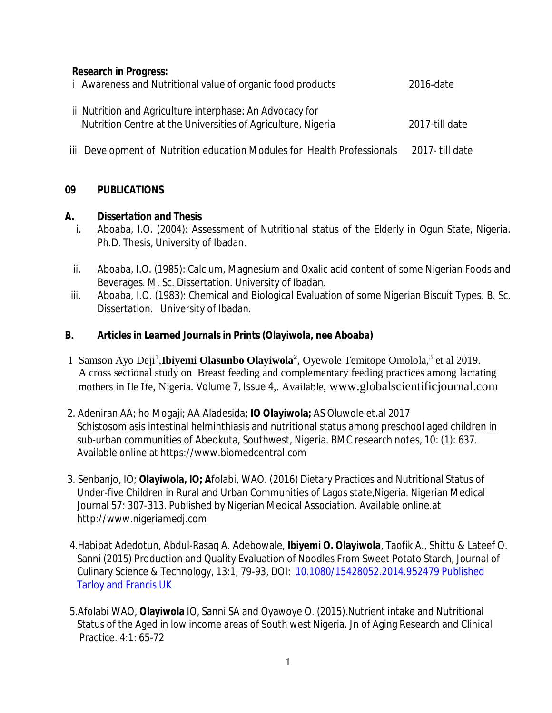## **Research in Progress:**

| <i>i</i> Awareness and Nutritional value of organic food products                                                        | 2016-date      |
|--------------------------------------------------------------------------------------------------------------------------|----------------|
| ii Nutrition and Agriculture interphase: An Advocacy for<br>Nutrition Centre at the Universities of Agriculture, Nigeria | 2017-till date |

iii Development of Nutrition education Modules for Health Professionals 2017- till date

## **09 PUBLICATIONS**

#### **A. Dissertation and Thesis**

- i. Aboaba, I.O. (2004): Assessment of Nutritional status of the Elderly in Ogun State, Nigeria. Ph.D. Thesis, University of Ibadan.
- ii. Aboaba, I.O. (1985): Calcium, Magnesium and Oxalic acid content of some Nigerian Foods and Beverages. M. Sc. Dissertation. University of Ibadan.
- iii. Aboaba, I.O. (1983): Chemical and Biological Evaluation of some Nigerian Biscuit Types. B. Sc. Dissertation. University of Ibadan.

## **B. Articles in Learned Journals in Prints (Olayiwola, nee Aboaba)**

- 1 Samson Ayo Deji<sup>1</sup>, Ibiyemi Olasunbo Olayiwola<sup>2</sup>, Oyewole Temitope Omolola,<sup>3</sup> et al 2019. A cross sectional study on Breast feeding and complementary feeding practices among lactating mothers in Ile Ife, Nigeria. Volume 7, Issue 4,. Available, [www.globalscientificjournal.com](http://www.globalscientificjournal.com)
- 2. Adeniran AA; ho Mogaji; AA Aladesida; **IO Olayiwola;** AS Oluwole et.al 2017 Schistosomiasis intestinal helminthiasis and nutritional status among preschool aged children in sub-urban communities of Abeokuta, Southwest, Nigeria. BMC research notes, 10: (1): 637. Available online at<https://www.biomedcentral.com>
- 3. Senbanjo, IO; **Olayiwola, IO; A**folabi, WAO. (2016) Dietary Practices and Nutritional Status of Under-five Children in Rural and Urban Communities of Lagos state,Nigeria. Nigerian Medical Journal 57: 307-313. Published by Nigerian Medical Association. Available online.at <http://www.nigeriamedj.com>
- 4.Habibat Adedotun, Abdul-Rasaq A. Adebowale, **Ibiyemi O. Olayiwola**, Taofik A., Shittu & Lateef O. Sanni (2015) Production and Quality Evaluation of Noodles From Sweet Potato Starch, Journal of Culinary Science & Technology, 13:1, 79-93, DOI: 10.1080/15428052.2014.952479 Published Tarloy and Francis UK
- 5.Afolabi WAO, **Olayiwola** IO, Sanni SA and Oyawoye O. (2015).Nutrient intake and Nutritional Status of the Aged in low income areas of South west Nigeria. Jn of Aging Research and Clinical Practice. 4:1: 65-72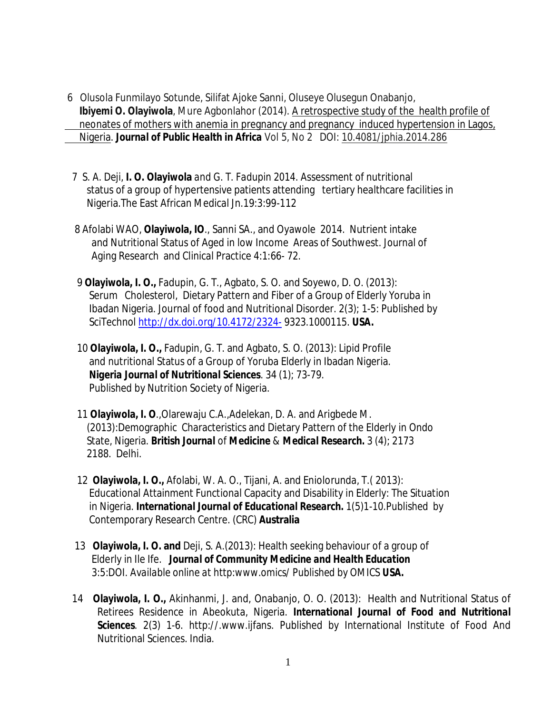- 6 Olusola Funmilayo Sotunde, Silifat Ajoke Sanni, Oluseye Olusegun Onabanjo,  **Ibiyemi O. Olayiwola**, Mure Agbonlahor (2014). A retrospective study of the health profile of neonates of mothers with anemia in pregnancy and pregnancy induced hypertension in Lagos, Nigeria. *Journal of Public Health in Africa* Vol 5, No 2 DOI: 10.4081/jphia.2014.286
	- *7 S. A. Deji,* **I. O. Olayiwola** *and G. T. Fadupin 2014.* Assessment of nutritional status of a group of hypertensive patients attending tertiary healthcare facilities in Nigeria.The East African Medical Jn.19:3:99-112
	- 8 Afolabi WAO, **Olayiwola, IO**., Sanni SA., and Oyawole 2014. Nutrient intake and Nutritional Status of Aged in low Income Areas of Southwest. Journal of Aging Research and Clinical Practice 4:1:66- 72.
	- 9 **Olayiwola, I. O.,** Fadupin, G. T., Agbato, S. O. and Soyewo, D. O. (2013): Serum Cholesterol, Dietary Pattern and Fiber of a Group of Elderly Yoruba in Ibadan Nigeria. Journal of food and Nutritional Disorder. 2(3); 1-5: Published by SciTechnol <http://dx.doi.org/10.4172/2324-> 9323.1000115. *USA.*
	- 10 **Olayiwola, I. O.,** Fadupin, G. T. and Agbato, S. O. (2013): Lipid Profile and nutritional Status of a Group of Yoruba Elderly in Ibadan Nigeria. *Nigeria Journal of Nutritional Sciences*. 34 (1); 73-79. Published by Nutrition Society of Nigeria.
	- 11 **Olayiwola, I. O**.,Olarewaju C.A.,Adelekan, D. A. and Arigbede M. (2013):Demographic Characteristics and Dietary Pattern of the Elderly in Ondo State, Nigeria. *British Journal of Medicine & Medical Research.* 3 (4); 2173 2188. Delhi.
	- 12 **Olayiwola, I. O***.,* Afolabi, W. A. O.*,* Tijani, A. and Eniolorunda, *T.( 2013):* Educational Attainment Functional Capacity and Disability in Elderly: The Situation in Nigeria. *International Journal of Educational Research. 1(5)1-10.Published by* Contemporary Research Centre. (CRC) **Australia**
	- 13 **Olayiwola, I. O. and** Deji, S. A.(2013)*:* Health seeking behaviour of a group of Elderly in Ile Ife*. Journal of Community Medicine and Health Education 3:5:DOI. Available online at http:www.omics/ Published by OMICS USA.*
- 14 **Olayiwola, I. O.,** Akinhanmi, J. and, Onabanjo, O. O. (2013): Health and Nutritional Status of Retirees Residence in Abeokuta, Nigeria. *International Journal of Food and Nutritional Sciences*. 2(3) 1-6. <http://.www.ijfans.> Published by International Institute of Food And Nutritional Sciences. India.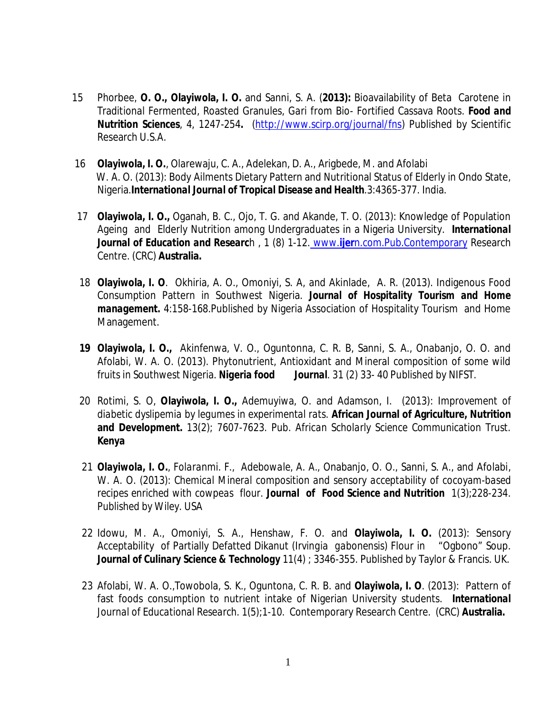- 15 Phorbee, **O. O., Olayiwola, I. O.** and Sanni, S. A. (**2013):** Bioavailability of Beta Carotene in Traditional Fermented, Roasted Granules, *Gari* from Bio- Fortified Cassava Roots. *Food and Nutrition Sciences*, 4, 1247-254**.** [\(http://www.scirp.org/journal/fns\)](http://www.scirp.org/journal/fns)) Published by Scientific Research U.S.A.
- 16 **Olayiwola, I. O.**, Olarewaju, C. A., Adelekan, D. A., Arigbede, M. and Afolabi W. A. O. (2013): Body Ailments Dietary Pattern and Nutritional Status of Elderly in Ondo State, Nigeria.*International Journal of Tropical Disease and Health*.3:4365-377. India.
- 17 **Olayiwola, I. O.,** Oganah, B. C., Ojo, T. G. and Akande, T. O. (2013): Knowledge of Population Ageing and Elderly Nutrition among Undergraduates in a Nigeria University. *International Journal of Education and Researc*h , 1 (8) 1-12. www.**ijer**n.com.Pub.Contemporary Research Centre. (CRC) **Australia.**
- 18 **Olayiwola, I. O**. Okhiria, A. O., Omoniyi, S. A, and Akinlade, A. R. (2013). Indigenous Food Consumption Pattern in Southwest Nigeria. *Journal of Hospitality Tourism and Home management.* 4:158-168.Published by Nigeria Association of Hospitality Tourism and Home Management.
- **19 Olayiwola, I. O.,** Akinfenwa, V. O., Oguntonna, C. R. B, Sanni, S. A., Onabanjo, O. O. and Afolabi, W. A. O. (2013). Phytonutrient, Antioxidant and Mineral composition of some wild fruits in Southwest Nigeria. *Nigeria food Journal*. 31 (2) 33- 40 Published by NIFST.
- 20 Rotimi, S. O, **Olayiwola, I. O.,** Ademuyiwa, O. and Adamson, I. (2013): *Improvement of diabetic dyslipemia by legumes in experimental rats.* **African Journal of Agriculture, Nutrition and Development.** *13(2); 7607-7623. Pub. African Scholarly Science Communication Trust. Kenya*
- 21 *Olayiwola, I. O., Folaranmi. F., Adebowale, A. A.,* Onabanjo, O. O., Sanni, S. A., and Afolabi, W. A. O*. (2013): Chemical Mineral composition and sensory acceptability of cocoyam-based recipes enriched with cowpeas flour. Journal of Food Science and Nutrition 1(3);228-234. Published by Wiley*. USA
- 22 Idowu, M. A., Omoniyi, S. A., Henshaw, F. O. and **Olayiwola, I. O.** (2013): Sensory Acceptability of Partially Defatted Dikanut (*Irvingia gabonensis*) Flour in "Ogbono" Soup. *Journal of Culinary Science & Technology* 11(4) ; 3346-355. Published by Taylor & Francis. UK.
- 23 Afolabi, W. A. O.,Towobola, S. K., Oguntona, C. R. B. and **Olayiwola, I. O**. (2013): Pattern of fast foods consumption to nutrient intake of Nigerian University students.*International Journal of Educational Research. 1(5);1-10.* Contemporary Research Centre. (CRC) **Australia.**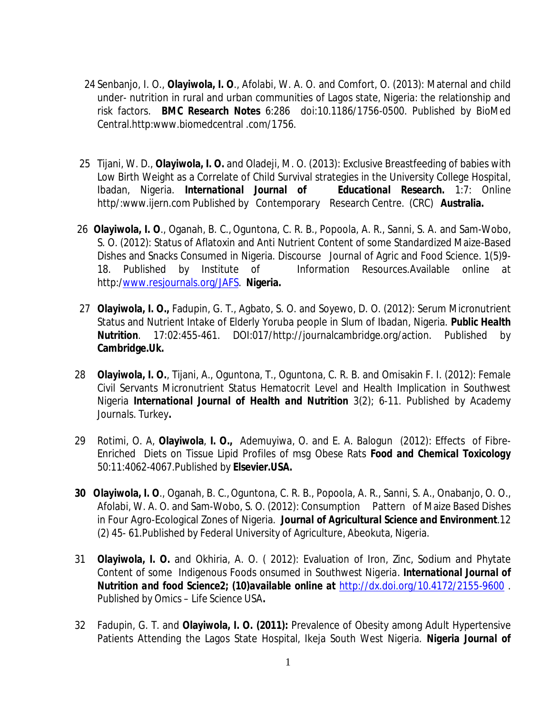- 24 Senbanjo, I. O., **Olayiwola, I. O**., Afolabi, W. A. O. and Comfort, O. (2013): Maternal and child under- nutrition in rural and urban communities of Lagos state, Nigeria: the relationship and risk factors. *BMC Research Notes* 6:286 doi:10.1186/1756-0500. Published by BioMed Central.http:www.biomedcentral .com/1756.
- 25 Tijani, W. D., **Olayiwola, I. O.** and Oladeji, M. O. (2013): Exclusive Breastfeeding of babies with Low Birth Weight as a Correlate of Child Survival strategies in the University College Hospital, Ibadan, Nigeria. *International Journal of Educational Research.* 1:7: Online http/[:www.ijern.com](http://www.ijern.com) Published by Contemporary Research Centre. (CRC) **Australia.**
- 26**Olayiwola, I. O**., Oganah, B. C., Oguntona, C. R. B., Popoola, A. R., Sanni, S. A. and Sam-Wobo, S. O. (2012): Status of Aflatoxin and Anti Nutrient Content of some Standardized Maize-Based Dishes and Snacks Consumed in Nigeria. Discourse Journal of Agric and Food Science. 1(5)9- 18. Published by Institute of Information Resources.Available online at http:[/www.resjournals.org/JAFS.](http://www.resjournals.org/JAFS.) **Nigeria.**
- 27 **Olayiwola, I. O.,** Fadupin, G. T., Agbato, S. O. and Soyewo, D. O. (2012): Serum Micronutrient Status and Nutrient Intake of Elderly Yoruba people in Slum of Ibadan, Nigeria. *Public Health Nutrition*. 17:02:455-461. DOI:017/<http://journalcambridge.org/action.>Published by **Cambridge.Uk.**
- *28* **Olayiwola, I. O.**, Tijani, A., Oguntona, T., Oguntona, C. R. B. and Omisakin F. I. (2012): Female Civil Servants Micronutrient Status Hematocrit Level and Health Implication in Southwest Nigeria *International Journal of Health and Nutrition* 3(2); 6-11. Published by Academy Journals. Turkey**.**
- 29 Rotimi, O. A, **Olayiwola**, **I. O.,** Ademuyiwa, O. and E. A. Balogun *(*2012): Effects of Fibre-Enriched Diets on Tissue Lipid Profiles of msg Obese Rats *Food and Chemical Toxicology* 50:11:4062-4067.Published by **Elsevier.USA.**
- **30 Olayiwola, I. O**., Oganah, B. C.,Oguntona, C. R. B., Popoola, A. R., Sanni, S. A., Onabanjo, O. O., Afolabi, W. A. O. and Sam-Wobo, S. O. (2012): Consumption Pattern of Maize Based Dishes in Four Agro-Ecological Zones of Nigeria. *Journal of Agricultural Science and Environment*.12 (2) 45- 61.Published by Federal University of Agriculture, Abeokuta, Nigeria.
- 31 **Olayiwola, I. O.** and Okhiria, A. O. ( 2012): Evaluation of Iron, Zinc, Sodium and Phytate Content of some Indigenous Foods onsumed in Southwest Ni*geria*. *International Journal of Nutrition and food Science2; (10)available online at <http://dx.doi.org/10.4172/2155-9600> . Published by Omics – Life Science USA.*
- 32 Fadupin, G. T. and **Olayiwola, I. O. (2011):** Prevalence of Obesity among Adult Hypertensive Patients Attending the Lagos State Hospital, Ikeja South West Nigeria. *Nigeria Journal of*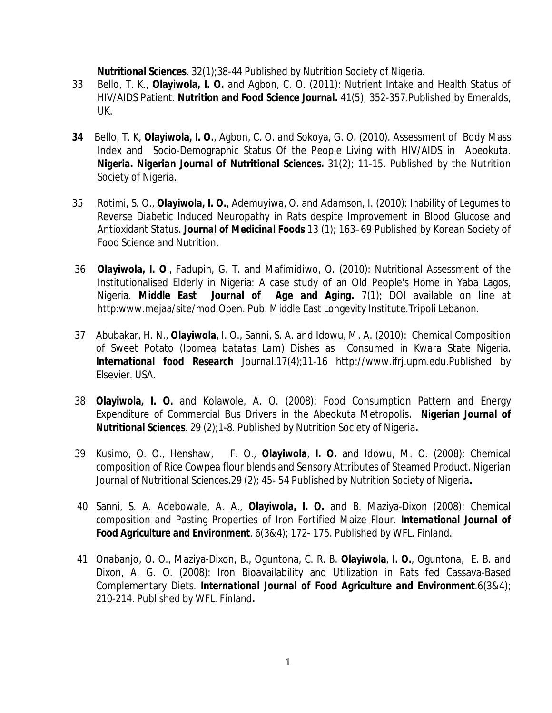*Nutritional Sciences*. 32(1);38-44 Published by Nutrition Society of Nigeria.

- 33 Bello, T. K., **Olayiwola, I. O.** and Agbon, C. O. (2011): Nutrient Intake and Health Status of HIV/AIDS Patient. *Nutrition and Food Science Journal. 41(5); 352-357.*Published by Emeralds, UK.
- **34** Bello, T. K, **Olayiwola, I. O.**, Agbon, C. O. and Sokoya, G. O. (2010). Assessment of Body Mass Index and Socio-Demographic Status Of the People Living with HIV/AIDS in Abeokuta. *Nigeria. Nigerian Journal of Nutritional Sciences***.** 31(2); 11-15. Published by the Nutrition Society of Nigeria.
- 35 Rotimi, S. O., **Olayiwola, I. O.**, Ademuyiwa, O. and Adamson, I. (2010): Inability of Legumes to Reverse Diabetic Induced Neuropathy in Rats despite Improvement in Blood Glucose and Antioxidant Status. *Journal of Medicinal Foods* 13 (1); 163–69 Published by Korean Society of Food Science and Nutrition.
- 36 **Olayiwola, I. O**., Fadupin, G. T. and Mafimidiwo, O. (2010): Nutritional Assessment of the Institutionalised Elderly in Nigeria: A case study of an Old People's Home in Yaba Lagos, Nigeria. *Middle East Journal of Age and Aging***.** 7(1); DOI available on line at http:[www.mejaa/site/mod.Open.](http://www.mejaa/site/mod.Open.) Pub. Middle East Longevity Institute.Tripoli Lebanon.
- 37 Abubakar, H. N., **Olayiwola,** I. O., Sanni, S. A. and Idowu, M. A. (2010): Chemical Composition of Sweet Potato (*Ipomea batatas Lam*) Dishes as Consumed in Kwara State Nigeria. *International food Research* Journal.17(4);11-16 <http://www.ifrj.upm.edu.Published>by Elsevier. USA.
- 38 **Olayiwola, I. O.** and Kolawole, A. O. (2008): Food Consumption Pattern and Energy Expenditure of Commercial Bus Drivers in the Abeokuta Metropolis. *Nigerian Journal of Nutritional Sciences*. 29 (2);1-8. Published by Nutrition Society of Nigeria**.**
- 39 Kusimo, O. O., Henshaw, F. O., **Olayiwola**, **I. O.** and Idowu, M. O. (2008): Chemical composition of Rice Cowpea flour blends and Sensory Attributes of Steamed Product. *Nigerian Journal of Nutritional Sciences*.29 (2); 45- 54 Published by Nutrition Society of Nigeria**.**
- 40 Sanni, S. A. Adebowale, A. A., **Olayiwola, I. O.** and B. Maziya-Dixon (2008): Chemical composition and Pasting Properties of Iron Fortified Maize Flour. *International Journal of Food Agriculture and Environment*. 6(3&4); 172- 175. Published by WFL. Finland.
- 41 Onabanjo, O. O., Maziya-Dixon, B., Oguntona, C. R. B. **Olayiwola**, **I. O.**, Oguntona, E. B. and Dixon, A. G. O. (2008): Iron Bioavailability and Utilization in Rats fed Cassava-Based Complementary Diets. *International Journal of Food Agriculture and Environment.*6(3&4); 210-214. Published by WFL. Finland**.**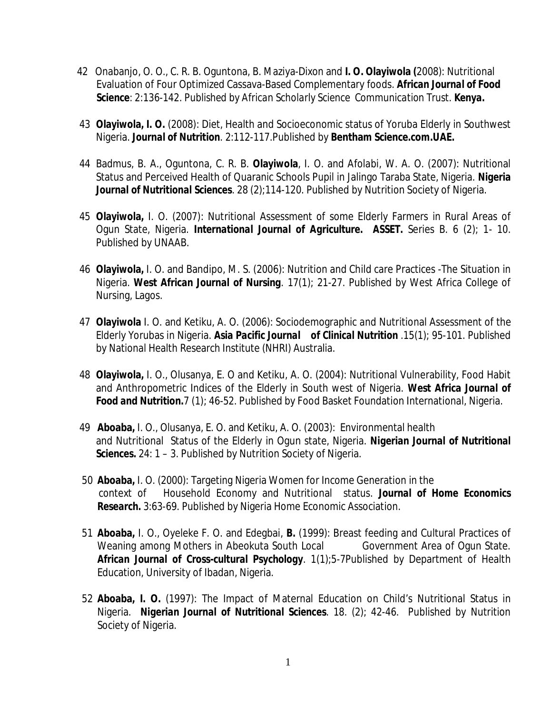- 42 Onabanjo, O. O., C. R. B. Oguntona, B. Maziya-Dixon and **I. O. Olayiwola (**2008): Nutritional Evaluation of Four Optimized Cassava-Based Complementary foods. *African Journal of Food Science: 2:136-142. Published by African Scholarly Science Communication Trust. Kenya.*
- 43 **Olayiwola, I. O.** (2008): Diet, Health and Socioeconomic status of Yoruba Elderly in Southwest Nigeria. *Journal of Nutrition*. 2:112-117.Published by **Bentham Science.com.UAE.**
- 44 Badmus, B. A., Oguntona, C. R. B. **Olayiwola**, I. O. and Afolabi, W. A. O. (2007): Nutritional Status and Perceived Health of Quaranic Schools Pupil in Jalingo Taraba State, Nigeria. *Nigeria Journal of Nutritional Sciences*. 28 (2);114-120. Published by Nutrition Society of Nigeria.
- 45 **Olayiwola,** I. O. (2007): Nutritional Assessment of some Elderly Farmers in Rural Areas of Ogun State, Nigeria. *International Journal of Agriculture. ASSET.* Series B. 6 (2); 1- 10. Published by UNAAB.
- 46 **Olayiwola,** I. O. and Bandipo, M. S. (2006): Nutrition and Child care Practices -The Situation in Nigeria. *West African Journal of Nursing*. 17(1); 21-27. Published by West Africa College of Nursing, Lagos.
- 47 **Olayiwola** I. O. and Ketiku, A. O. (2006): Sociodemographic and Nutritional Assessment of the Elderly Yorubas in Nigeria. *Asia Pacific Journal of Clinical Nutrition* .15(1); 95-101. Published by National Health Research Institute (NHRI) Australia.
- 48 **Olayiwola,** I. O., Olusanya, E. O and Ketiku, A. O. (2004): Nutritional Vulnerability, Food Habit and Anthropometric Indices of the Elderly in South west of Nigeria. *West Africa Journal of Food and Nutrition.*7 (1); 46-52. Published by Food Basket Foundation International, Nigeria.
- 49 **Aboaba,** I. O., Olusanya, E. O. and Ketiku, A. O. (2003): Environmental health and Nutritional Status of the Elderly in Ogun state, Nigeria. *Nigerian Journal of Nutritional Sciences.* 24: 1 – 3. Published by Nutrition Society of Nigeria.
- 50 **Aboaba,** I. O. (2000): Targeting Nigeria Women for Income Generation in the context of Household Economy and Nutritional status. *Journal of Home Economics Research.* 3:63-69. Published by Nigeria Home Economic Association.
- 51 **Aboaba,** I. O., Oyeleke F. O. and Edegbai, **B.** (1999): Breast feeding and Cultural Practices of Weaning among Mothers in Abeokuta South Local Government Area of Ogun State. *African Journal of Cross-cultural Psychology.* 1(1);5-7Published by Department of Health Education, University of Ibadan, Nigeria.
- 52 **Aboaba, I. O.** (1997): The Impact of Maternal Education on Child's Nutritional Status in Nigeria. *Nigerian Journal of Nutritional Sciences*. 18. (2); 42-46. Published by Nutrition Society of Nigeria.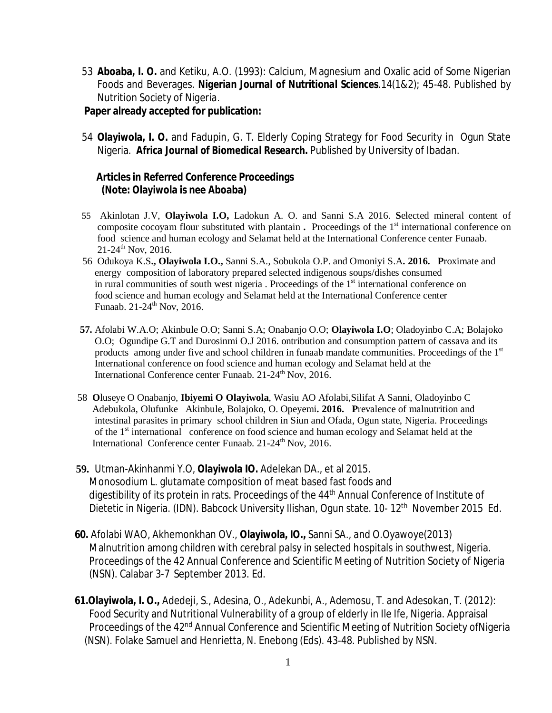53 **Aboaba, I. O.** and Ketiku, A.O. (1993): Calcium, Magnesium and Oxalic acid of Some Nigerian Foods and Beverages. *Nigerian Journal of Nutritional Sciences*.14(1&2); 45-48. Published by Nutrition Society of *Nigeria.* 

### **Paper already accepted for publication:**

 54 **Olayiwola, I. O.** and Fadupin, G. T. Elderly Coping Strategy for Food Security in Ogun State Nigeria. *Africa Journal of Biomedical Research.* Published by University of Ibadan.

#### **Articles in Referred Conference Proceedings (Note: Olayiwola is nee Aboaba)**

- 55 Akinlotan J.V, **Olayiwola I.O,** Ladokun A. O. and Sanni S.A 2016. **S**elected mineral content of composite cocoyam flour substituted with plantain **.** Proceedings of the 1<sup>st</sup> international conference on food science and human ecology and Selamat held at the International Conference center Funaab. 21-24th Nov, 2016.
- 56 Odukoya K.S**., Olayiwola I.O.,** Sanni S.A., Sobukola O.P. and Omoniyi S.A**. 2016. P**roximate and energy composition of laboratory prepared selected indigenous soups/dishes consumed in rural communities of south west nigeria. Proceedings of the  $1<sup>st</sup>$  international conference on food science and human ecology and Selamat held at the International Conference center Funaab. 21-24<sup>th</sup> Nov, 2016.
- **57.** Afolabi W.A.O; Akinbule O.O; Sanni S.A; Onabanjo O.O; **Olayiwola I.O**; Oladoyinbo C.A; Bolajoko O.O; Ogundipe G.T and Durosinmi O.J 2016. ontribution and consumption pattern of cassava and its products among under five and school children in funaab mandate communities. Proceedings of the 1<sup>st</sup> International conference on food science and human ecology and Selamat held at the International Conference center Funaab. 21-24<sup>th</sup> Nov, 2016.
- 58 **O**luseye O Onabanjo, **Ibiyemi O Olayiwola**, Wasiu AO Afolabi,Silifat A Sanni, Oladoyinbo C Adebukola, Olufunke Akinbule, Bolajoko, O. Opeyemi**. 2016. P**revalence of malnutrition and intestinal parasites in primary school children in Siun and Ofada, Ogun state, Nigeria. Proceedings of the 1<sup>st</sup> international conference on food science and human ecology and Selamat held at the International Conference center Funaab. 21-24<sup>th</sup> Nov, 2016.
- **59.** Utman-Akinhanmi Y.O, **Olayiwola IO.** Adelekan DA., et al 2015. Monosodium L. glutamate composition of meat based fast foods and digestibility of its protein in rats. Proceedings of the 44th Annual Conference of Institute of Dietetic in Nigeria. (IDN). Babcock University Ilishan, Ogun state. 10- 12<sup>th</sup> November 2015 Ed.
	- **60.** Afolabi WAO, Akhemonkhan OV., **Olayiwola, IO.,** Sanni SA., and O.Oyawoye(2013) Malnutrition among children with cerebral palsy in selected hospitals in southwest, Nigeria. Proceedings of the 42 Annual Conference and Scientific Meeting of Nutrition Society of Nigeria (NSN). Calabar 3-7 September 2013. Ed.
	- **61.Olayiwola, I. O.,** Adedeji, S., Adesina, O., Adekunbi, A., Ademosu, T. and Adesokan, T. (2012): Food Security and Nutritional Vulnerability of a group of elderly in Ile Ife, Nigeria. Appraisal Proceedings of the 42<sup>nd</sup> Annual Conference and Scientific Meeting of Nutrition Society ofNigeria (NSN). Folake Samuel and Henrietta, N. Enebong (Eds). 43-48. Published by NSN.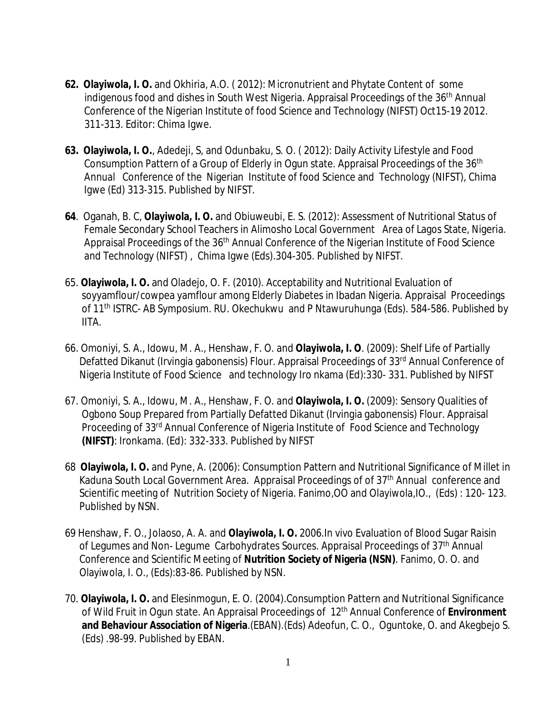- **62. Olayiwola, I. O.** and Okhiria, A.O. ( 2012): Micronutrient and Phytate Content of some indigenous food and dishes in South West Nigeria. Appraisal Proceedings of the 36th Annual Conference of the Nigerian Institute of food Science and Technology (NIFST) Oct15-19 2012. 311-313. Editor: Chima Igwe.
- **63. Olayiwola, I. O.**, Adedeji, S, and Odunbaku, S. O. ( 2012): Daily Activity Lifestyle and Food Consumption Pattern of a Group of Elderly in Ogun state. Appraisal Proceedings of the 36<sup>th</sup> Annual Conference of the Nigerian Institute of food Science and Technology (NIFST), Chima Igwe (Ed) 313-315. Published by NIFST.
- **64**. Oganah, B. C, **Olayiwola, I. O.** and Obiuweubi, E. S. (2012): Assessment of Nutritional Status of Female Secondary School Teachers in Alimosho Local Government Area of Lagos State, Nigeria. Appraisal Proceedings of the 36<sup>th</sup> Annual Conference of the Nigerian Institute of Food Science and Technology (NIFST) , Chima Igwe (Eds).304-305. Published by NIFST.
- 65. **Olayiwola, I. O.** and Oladejo, O. F. (2010). Acceptability and Nutritional Evaluation of soyyamflour/cowpea yamflour among Elderly Diabetes in Ibadan Nigeria. Appraisal Proceedings of 11th ISTRC- AB Symposium. RU. Okechukwu and P Ntawuruhunga (Eds). 584-586. Published by IITA.
- 66. Omoniyi, S. A., Idowu, M. A., Henshaw, F. O. and **Olayiwola, I. O**. (2009): Shelf Life of Partially Defatted Dikanut (Irvingia gabonensis) Flour. Appraisal Proceedings of 33<sup>rd</sup> Annual Conference of Nigeria Institute of Food Science and technology Iro nkama (Ed):330- 331. Published by NIFST
- 67. Omoniyi, S. A., Idowu, M. A., Henshaw, F. O. and **Olayiwola, I. O.** (2009): Sensory Qualities of Ogbono Soup Prepared from Partially Defatted Dikanut (Irvingia gabonensis) Flour. Appraisal Proceeding of 33rd Annual Conference of Nigeria Institute of Food Science and Technology **(NIFST)**: Ironkama. (Ed): 332-333. Published by NIFST
- 68 **Olayiwola, I. O.** and Pyne, A. (2006): Consumption Pattern and Nutritional Significance of Millet in Kaduna South Local Government Area. Appraisal Proceedings of of 37<sup>th</sup> Annual conference and Scientific meeting of Nutrition Society of Nigeria. Fanimo,OO and Olayiwola,IO., (Eds) : 120- 123. Published by NSN.
- 69 Henshaw, F. O., Jolaoso, A. A. and **Olayiwola, I. O.** 2006.In vivo Evaluation of Blood Sugar Raisin of Legumes and Non- Legume Carbohydrates Sources. Appraisal Proceedings of 37<sup>th</sup> Annual Conference and Scientific Meeting of **Nutrition Society of Nigeria (NSN)**. Fanimo, O. O. and Olayiwola, I. O., (Eds):83-86. Published by NSN.
- 70. **Olayiwola, I. O.** and Elesinmogun, E. O. (2004).Consumption Pattern and Nutritional Significance of Wild Fruit in Ogun state. An Appraisal Proceedings of 12th Annual Conference of **Environment and Behaviour Association of Nigeria**.(EBAN).(Eds) Adeofun, C. O., Oguntoke, O. and Akegbejo S. (Eds) .98-99. Published by EBAN.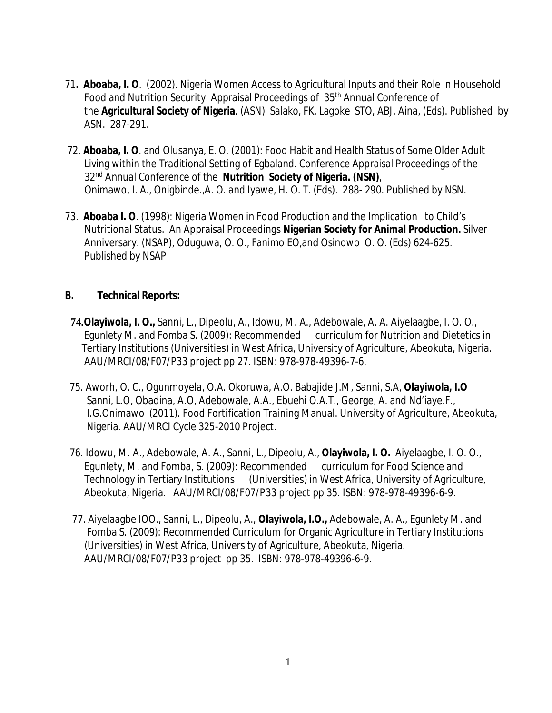- 71**. Aboaba, I. O**. (2002). Nigeria Women Access to Agricultural Inputs and their Role in Household Food and Nutrition Security. Appraisal Proceedings of 35<sup>th</sup> Annual Conference of the **Agricultural Society of Nigeria**. (ASN) Salako, FK, Lagoke STO, ABJ, Aina, (Eds). Published by ASN. 287-291.
- 72. **Aboaba, I. O**. and Olusanya, E. O. (2001): Food Habit and Health Status of Some Older Adult Living within the Traditional Setting of Egbaland. Conference Appraisal Proceedings of the 32nd Annual Conference of the **Nutrition Society of Nigeria. (NSN)**, Onimawo, I. A., Onigbinde.,A. O. and Iyawe, H. O. T. (Eds). 288- 290. Published by NSN.
- 73. **Aboaba I. O**. (1998): Nigeria Women in Food Production and the Implication to Child's Nutritional Status. An Appraisal Proceedings **Nigerian Society for Animal Production.** Silver Anniversary. (NSAP), Oduguwa, O. O., Fanimo EO,and Osinowo O. O. (Eds) 624-625. Published by NSAP

## **B. Technical Reports:**

- **74.Olayiwola, I. O.,** Sanni, L., Dipeolu, A., Idowu, M. A., Adebowale, A. A. Aiyelaagbe, I. O. O., Egunlety M. and Fomba S. (2009): Recommended curriculum for Nutrition and Dietetics in Tertiary Institutions (Universities) in West Africa, University of Agriculture, Abeokuta, Nigeria. AAU/MRCI/08/F07/P33 project pp 27. ISBN: 978-978-49396-7-6.
- 75. Aworh, O. C., Ogunmoyela, O.A. Okoruwa, A.O. Babajide J.M, Sanni, S.A, **Olayiwola, I.O** Sanni, L.O, Obadina, A.O, Adebowale, A.A., Ebuehi O.A.T., George, A. and Nd'iaye.F., I.G.Onimawo (2011). Food Fortification Training Manual. University of Agriculture, Abeokuta, Nigeria. AAU/MRCI Cycle 325-2010 Project.
- 76. Idowu, M. A., Adebowale, A. A., Sanni, L., Dipeolu, A., **Olayiwola, I. O.** Aiyelaagbe, I. O. O., Egunlety, M. and Fomba, S. (2009): Recommended curriculum for Food Science and Technology in Tertiary Institutions (Universities) in West Africa, University of Agriculture, Abeokuta, Nigeria. AAU/MRCI/08/F07/P33 project pp 35. ISBN: 978-978-49396-6-9.
- 77. Aiyelaagbe IOO., Sanni, L., Dipeolu, A., **Olayiwola, I.O.,** Adebowale, A. A., Egunlety M. and Fomba S. (2009): Recommended Curriculum for Organic Agriculture in Tertiary Institutions (Universities) in West Africa, University of Agriculture, Abeokuta, Nigeria. AAU/MRCI/08/F07/P33 project pp 35. ISBN: 978-978-49396-6-9.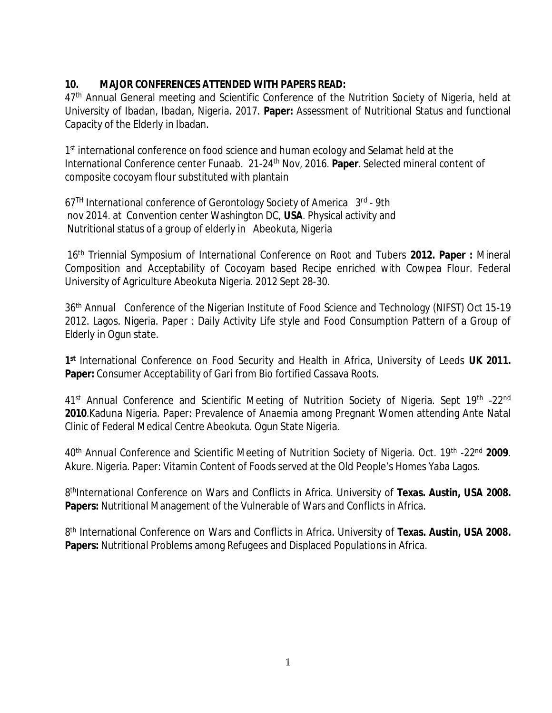## **10. MAJOR CONFERENCES ATTENDED WITH PAPERS READ:**

47<sup>th</sup> Annual General meeting and Scientific Conference of the Nutrition Society of Nigeria, held at University of Ibadan, Ibadan, Nigeria. 2017. **Paper:** Assessment of Nutritional Status and functional Capacity of the Elderly in Ibadan.

1<sup>st</sup> international conference on food science and human ecology and Selamat held at the International Conference center Funaab. 21-24th Nov, 2016. **Paper**. Selected mineral content of composite cocoyam flour substituted with plantain

67<sup>TH</sup> International conference of Gerontology Society of America 3<sup>rd</sup> - 9th nov 2014. at Convention center Washington DC, **USA**. Physical activity and Nutritional status of a group of elderly in Abeokuta, Nigeria

16th Triennial Symposium of International Conference on Root and Tubers **2012. Paper :** Mineral Composition and Acceptability of Cocoyam based Recipe enriched with Cowpea Flour. Federal University of Agriculture Abeokuta Nigeria. 2012 Sept 28-30.

36th Annual Conference of the Nigerian Institute of Food Science and Technology (NIFST) Oct 15-19 2012. Lagos. Nigeria. Paper : Daily Activity Life style and Food Consumption Pattern of a Group of Elderly in Ogun state.

**1 st** International Conference on Food Security and Health in Africa, University of Leeds **UK 2011. Paper:** Consumer Acceptability of Gari from Bio fortified Cassava Roots.

41<sup>st</sup> Annual Conference and Scientific Meeting of Nutrition Society of Nigeria. Sept 19<sup>th</sup> -22<sup>nd</sup> **2010**.Kaduna Nigeria. Paper: Prevalence of Anaemia among Pregnant Women attending Ante Natal Clinic of Federal Medical Centre Abeokuta. Ogun State Nigeria.

40th Annual Conference and Scientific Meeting of Nutrition Society of Nigeria. Oct. 19th -22nd **2009**. Akure. Nigeria. Paper: Vitamin Content of Foods served at the Old People's Homes Yaba Lagos.

8<sup>th</sup>International Conference on Wars and Conflicts in Africa. University of Texas. Austin, USA 2008. **Papers:** Nutritional Management of the Vulnerable of Wars and Conflicts in Africa.

8 th International Conference on Wars and Conflicts in Africa. University of **Texas. Austin, USA 2008. Papers:** Nutritional Problems among Refugees and Displaced Populations in Africa.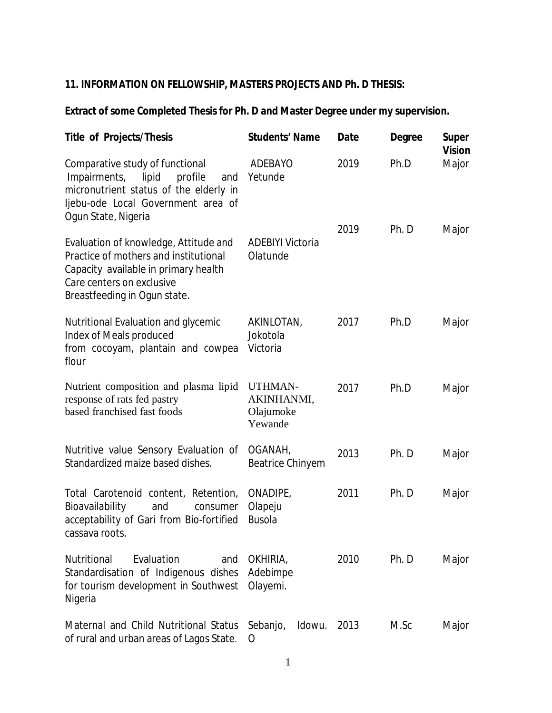# **11. INFORMATION ON FELLOWSHIP, MASTERS PROJECTS AND Ph. D THESIS:**

## **Extract of some Completed Thesis for Ph. D and Master Degree under my supervision.**

| <b>Title of Projects/Thesis</b>                                                                                                                                                     | <b>Students' Name</b>                                | <b>Date</b> | <b>Degree</b> | <b>Super</b><br><b>Vision</b> |
|-------------------------------------------------------------------------------------------------------------------------------------------------------------------------------------|------------------------------------------------------|-------------|---------------|-------------------------------|
| Comparative study of functional<br>Impairments, lipid<br>profile<br>and<br>micronutrient status of the elderly in<br>ljebu-ode Local Government area of<br>Ogun State, Nigeria      | <b>ADEBAYO</b><br>Yetunde                            | 2019        | Ph.D          | Major                         |
| Evaluation of knowledge, Attitude and<br>Practice of mothers and institutional<br>Capacity available in primary health<br>Care centers on exclusive<br>Breastfeeding in Ogun state. | <b>ADEBIYI Victoria</b><br>Olatunde                  | 2019        | Ph. D         | Major                         |
| Nutritional Evaluation and glycemic<br>Index of Meals produced<br>from cocoyam, plantain and cowpea<br>flour                                                                        | AKINLOTAN,<br>Jokotola<br>Victoria                   | 2017        | Ph.D          | Major                         |
| Nutrient composition and plasma lipid<br>response of rats fed pastry<br>based franchised fast foods                                                                                 | <b>UTHMAN-</b><br>AKINHANMI,<br>Olajumoke<br>Yewande | 2017        | Ph.D          | Major                         |
| Nutritive value Sensory Evaluation of<br>Standardized maize based dishes.                                                                                                           | OGANAH,<br><b>Beatrice Chinyem</b>                   | 2013        | Ph. D         | Major                         |
| Total Carotenoid content, Retention,<br>Bioavailability<br>and<br>consumer<br>acceptability of Gari from Bio-fortified<br>cassava roots.                                            | ONADIPE,<br>Olapeju<br><b>Busola</b>                 | 2011        | Ph. D         | Major                         |
| Evaluation<br><b>Nutritional</b><br>and<br>Standardisation of Indigenous dishes<br>for tourism development in Southwest<br>Nigeria                                                  | OKHIRIA,<br>Adebimpe<br>Olayemi.                     | 2010        | Ph. D         | Major                         |
| Maternal and Child Nutritional Status<br>of rural and urban areas of Lagos State.                                                                                                   | Sebanjo,<br>Idowu.<br>O                              | 2013        | M.Sc          | Major                         |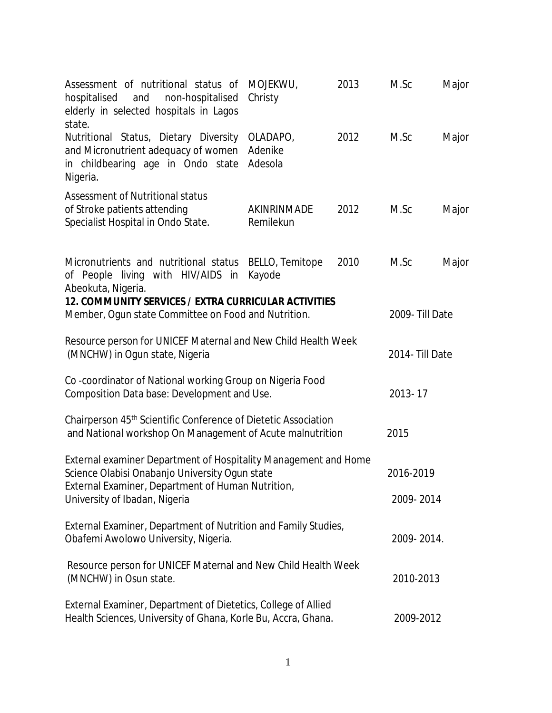| Assessment of nutritional status of<br>hospitalised<br>and<br>non-hospitalised<br>elderly in selected hospitals in Lagos<br>state.      | MOJEKWU,<br>Christy            | 2013 | M.Sc            | Major |
|-----------------------------------------------------------------------------------------------------------------------------------------|--------------------------------|------|-----------------|-------|
| Nutritional Status, Dietary Diversity<br>and Micronutrient adequacy of women<br>in childbearing age in Ondo state<br>Nigeria.           | OLADAPO,<br>Adenike<br>Adesola | 2012 | M.Sc            | Major |
| <b>Assessment of Nutritional status</b><br>of Stroke patients attending<br>Specialist Hospital in Ondo State.                           | AKINRINMADE<br>Remilekun       | 2012 | M.Sc            | Major |
| Micronutrients and nutritional status<br>of People living with HIV/AIDS in<br>Abeokuta, Nigeria.                                        | BELLO, Temitope<br>Kayode      | 2010 | M.Sc            | Major |
| 12. COMMUNITY SERVICES / EXTRA CURRICULAR ACTIVITIES<br>Member, Ogun state Committee on Food and Nutrition.                             |                                |      | 2009- Till Date |       |
| Resource person for UNICEF Maternal and New Child Health Week<br>(MNCHW) in Ogun state, Nigeria                                         |                                |      | 2014- Till Date |       |
| Co-coordinator of National working Group on Nigeria Food<br>Composition Data base: Development and Use.                                 |                                |      | 2013-17         |       |
| Chairperson 45 <sup>th</sup> Scientific Conference of Dietetic Association<br>and National workshop On Management of Acute malnutrition |                                |      | 2015            |       |
| External examiner Department of Hospitality Management and Home<br>Science Olabisi Onabanjo University Ogun state                       |                                |      | 2016-2019       |       |
| External Examiner, Department of Human Nutrition,<br>University of Ibadan, Nigeria                                                      |                                |      | 2009-2014       |       |
| External Examiner, Department of Nutrition and Family Studies,<br>Obafemi Awolowo University, Nigeria.                                  |                                |      | 2009-2014.      |       |
| Resource person for UNICEF Maternal and New Child Health Week<br>(MNCHW) in Osun state.                                                 |                                |      | 2010-2013       |       |
| External Examiner, Department of Dietetics, College of Allied<br>Health Sciences, University of Ghana, Korle Bu, Accra, Ghana.          |                                |      | 2009-2012       |       |